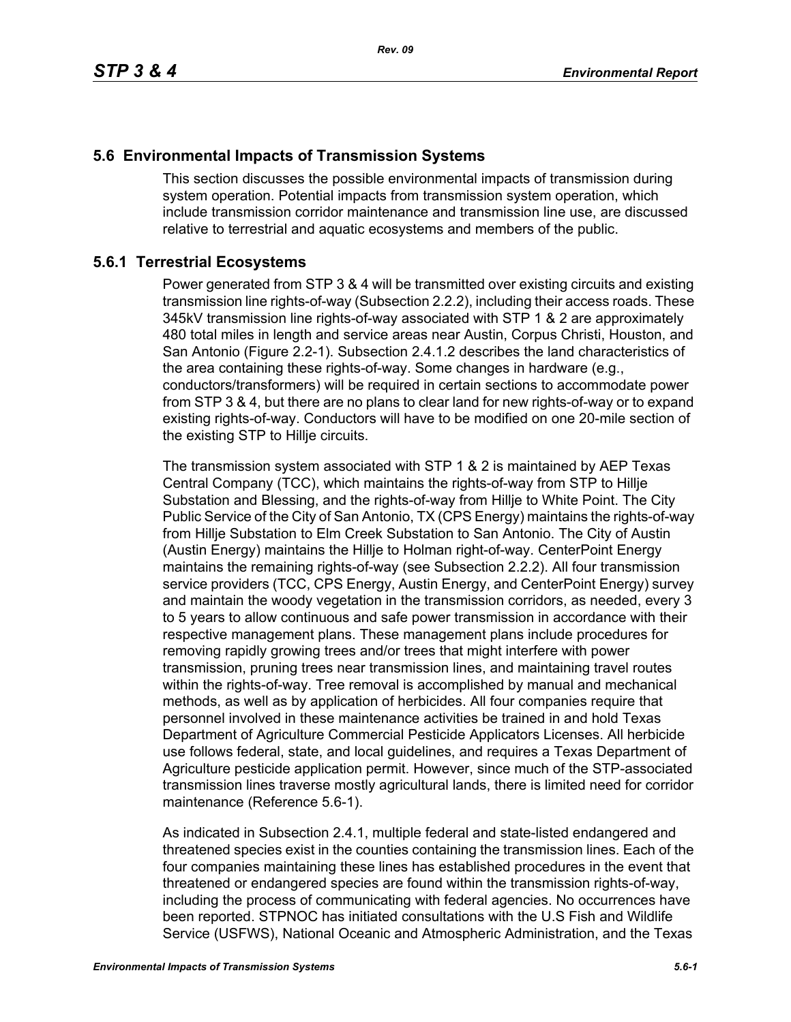## **5.6 Environmental Impacts of Transmission Systems**

This section discusses the possible environmental impacts of transmission during system operation. Potential impacts from transmission system operation, which include transmission corridor maintenance and transmission line use, are discussed relative to terrestrial and aquatic ecosystems and members of the public.

## **5.6.1 Terrestrial Ecosystems**

Power generated from STP 3 & 4 will be transmitted over existing circuits and existing transmission line rights-of-way (Subsection 2.2.2), including their access roads. These 345kV transmission line rights-of-way associated with STP 1 & 2 are approximately 480 total miles in length and service areas near Austin, Corpus Christi, Houston, and San Antonio (Figure 2.2-1). Subsection 2.4.1.2 describes the land characteristics of the area containing these rights-of-way. Some changes in hardware (e.g., conductors/transformers) will be required in certain sections to accommodate power from STP 3 & 4, but there are no plans to clear land for new rights-of-way or to expand existing rights-of-way. Conductors will have to be modified on one 20-mile section of the existing STP to Hillje circuits.

The transmission system associated with STP 1 & 2 is maintained by AEP Texas Central Company (TCC), which maintains the rights-of-way from STP to Hillje Substation and Blessing, and the rights-of-way from Hillje to White Point. The City Public Service of the City of San Antonio, TX (CPS Energy) maintains the rights-of-way from Hillje Substation to Elm Creek Substation to San Antonio. The City of Austin (Austin Energy) maintains the Hillje to Holman right-of-way. CenterPoint Energy maintains the remaining rights-of-way (see Subsection 2.2.2). All four transmission service providers (TCC, CPS Energy, Austin Energy, and CenterPoint Energy) survey and maintain the woody vegetation in the transmission corridors, as needed, every 3 to 5 years to allow continuous and safe power transmission in accordance with their respective management plans. These management plans include procedures for removing rapidly growing trees and/or trees that might interfere with power transmission, pruning trees near transmission lines, and maintaining travel routes within the rights-of-way. Tree removal is accomplished by manual and mechanical methods, as well as by application of herbicides. All four companies require that personnel involved in these maintenance activities be trained in and hold Texas Department of Agriculture Commercial Pesticide Applicators Licenses. All herbicide use follows federal, state, and local guidelines, and requires a Texas Department of Agriculture pesticide application permit. However, since much of the STP-associated transmission lines traverse mostly agricultural lands, there is limited need for corridor maintenance (Reference 5.6-1).

As indicated in Subsection 2.4.1, multiple federal and state-listed endangered and threatened species exist in the counties containing the transmission lines. Each of the four companies maintaining these lines has established procedures in the event that threatened or endangered species are found within the transmission rights-of-way, including the process of communicating with federal agencies. No occurrences have been reported. STPNOC has initiated consultations with the U.S Fish and Wildlife Service (USFWS), National Oceanic and Atmospheric Administration, and the Texas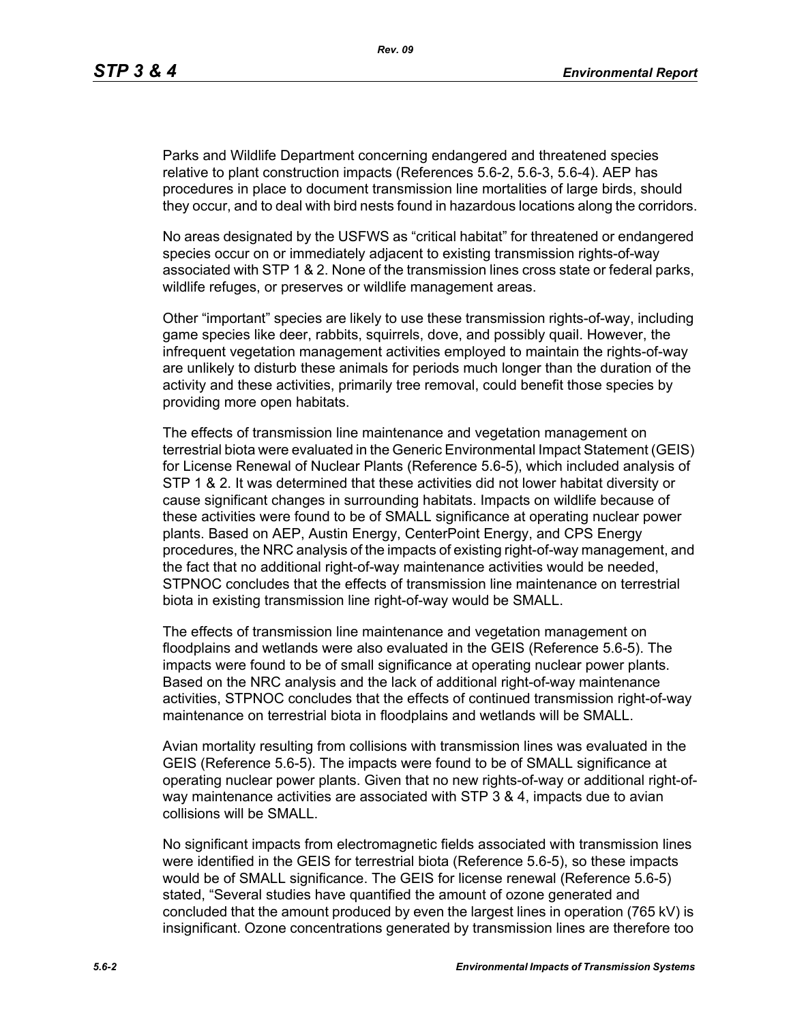Parks and Wildlife Department concerning endangered and threatened species relative to plant construction impacts (References 5.6-2, 5.6-3, 5.6-4). AEP has procedures in place to document transmission line mortalities of large birds, should they occur, and to deal with bird nests found in hazardous locations along the corridors.

No areas designated by the USFWS as "critical habitat" for threatened or endangered species occur on or immediately adjacent to existing transmission rights-of-way associated with STP 1 & 2. None of the transmission lines cross state or federal parks, wildlife refuges, or preserves or wildlife management areas.

Other "important" species are likely to use these transmission rights-of-way, including game species like deer, rabbits, squirrels, dove, and possibly quail. However, the infrequent vegetation management activities employed to maintain the rights-of-way are unlikely to disturb these animals for periods much longer than the duration of the activity and these activities, primarily tree removal, could benefit those species by providing more open habitats.

The effects of transmission line maintenance and vegetation management on terrestrial biota were evaluated in the Generic Environmental Impact Statement (GEIS) for License Renewal of Nuclear Plants (Reference 5.6-5), which included analysis of STP 1 & 2. It was determined that these activities did not lower habitat diversity or cause significant changes in surrounding habitats. Impacts on wildlife because of these activities were found to be of SMALL significance at operating nuclear power plants. Based on AEP, Austin Energy, CenterPoint Energy, and CPS Energy procedures, the NRC analysis of the impacts of existing right-of-way management, and the fact that no additional right-of-way maintenance activities would be needed, STPNOC concludes that the effects of transmission line maintenance on terrestrial biota in existing transmission line right-of-way would be SMALL.

The effects of transmission line maintenance and vegetation management on floodplains and wetlands were also evaluated in the GEIS (Reference 5.6-5). The impacts were found to be of small significance at operating nuclear power plants. Based on the NRC analysis and the lack of additional right-of-way maintenance activities, STPNOC concludes that the effects of continued transmission right-of-way maintenance on terrestrial biota in floodplains and wetlands will be SMALL.

Avian mortality resulting from collisions with transmission lines was evaluated in the GEIS (Reference 5.6-5). The impacts were found to be of SMALL significance at operating nuclear power plants. Given that no new rights-of-way or additional right-ofway maintenance activities are associated with STP 3 & 4, impacts due to avian collisions will be SMALL.

No significant impacts from electromagnetic fields associated with transmission lines were identified in the GEIS for terrestrial biota (Reference 5.6-5), so these impacts would be of SMALL significance. The GEIS for license renewal (Reference 5.6-5) stated, "Several studies have quantified the amount of ozone generated and concluded that the amount produced by even the largest lines in operation (765 kV) is insignificant. Ozone concentrations generated by transmission lines are therefore too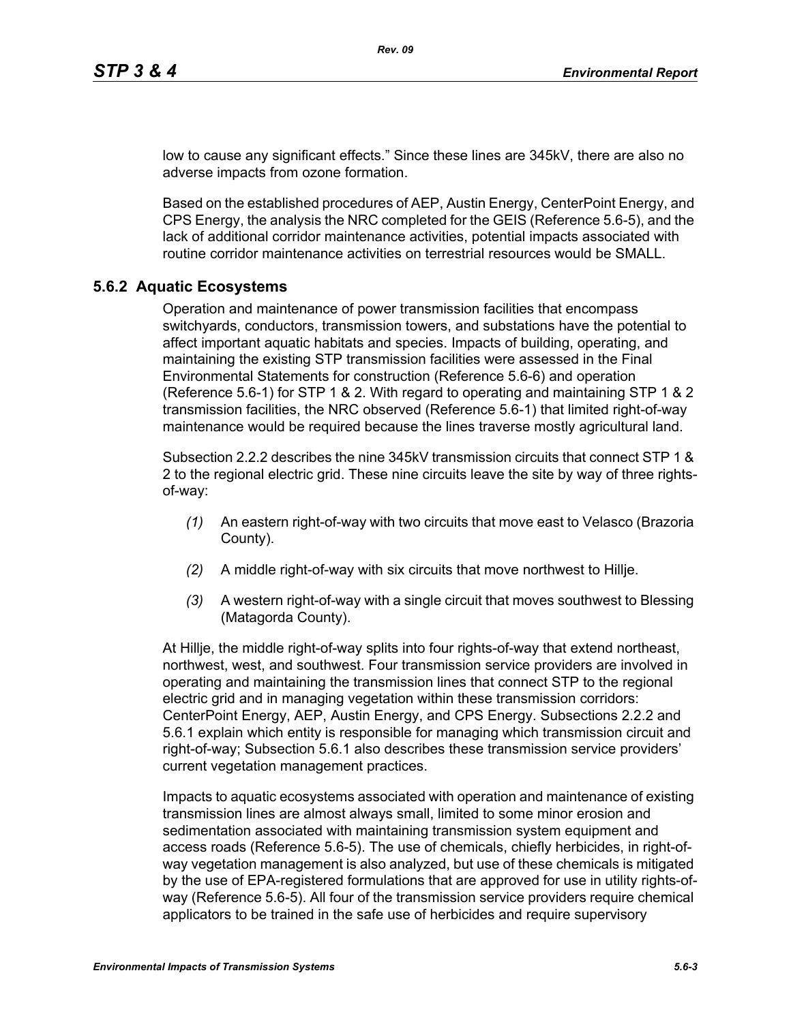low to cause any significant effects." Since these lines are 345kV, there are also no adverse impacts from ozone formation.

Based on the established procedures of AEP, Austin Energy, CenterPoint Energy, and CPS Energy, the analysis the NRC completed for the GEIS (Reference 5.6-5), and the lack of additional corridor maintenance activities, potential impacts associated with routine corridor maintenance activities on terrestrial resources would be SMALL.

#### **5.6.2 Aquatic Ecosystems**

Operation and maintenance of power transmission facilities that encompass switchyards, conductors, transmission towers, and substations have the potential to affect important aquatic habitats and species. Impacts of building, operating, and maintaining the existing STP transmission facilities were assessed in the Final Environmental Statements for construction (Reference 5.6-6) and operation (Reference 5.6-1) for STP 1 & 2. With regard to operating and maintaining STP 1 & 2 transmission facilities, the NRC observed (Reference 5.6-1) that limited right-of-way maintenance would be required because the lines traverse mostly agricultural land.

Subsection 2.2.2 describes the nine 345kV transmission circuits that connect STP 1 & 2 to the regional electric grid. These nine circuits leave the site by way of three rightsof-way:

- *(1)* An eastern right-of-way with two circuits that move east to Velasco (Brazoria County).
- *(2)* A middle right-of-way with six circuits that move northwest to Hillje.
- *(3)* A western right-of-way with a single circuit that moves southwest to Blessing (Matagorda County).

At Hillje, the middle right-of-way splits into four rights-of-way that extend northeast, northwest, west, and southwest. Four transmission service providers are involved in operating and maintaining the transmission lines that connect STP to the regional electric grid and in managing vegetation within these transmission corridors: CenterPoint Energy, AEP, Austin Energy, and CPS Energy. Subsections 2.2.2 and 5.6.1 explain which entity is responsible for managing which transmission circuit and right-of-way; Subsection 5.6.1 also describes these transmission service providers' current vegetation management practices.

Impacts to aquatic ecosystems associated with operation and maintenance of existing transmission lines are almost always small, limited to some minor erosion and sedimentation associated with maintaining transmission system equipment and access roads (Reference 5.6-5). The use of chemicals, chiefly herbicides, in right-ofway vegetation management is also analyzed, but use of these chemicals is mitigated by the use of EPA-registered formulations that are approved for use in utility rights-ofway (Reference 5.6-5). All four of the transmission service providers require chemical applicators to be trained in the safe use of herbicides and require supervisory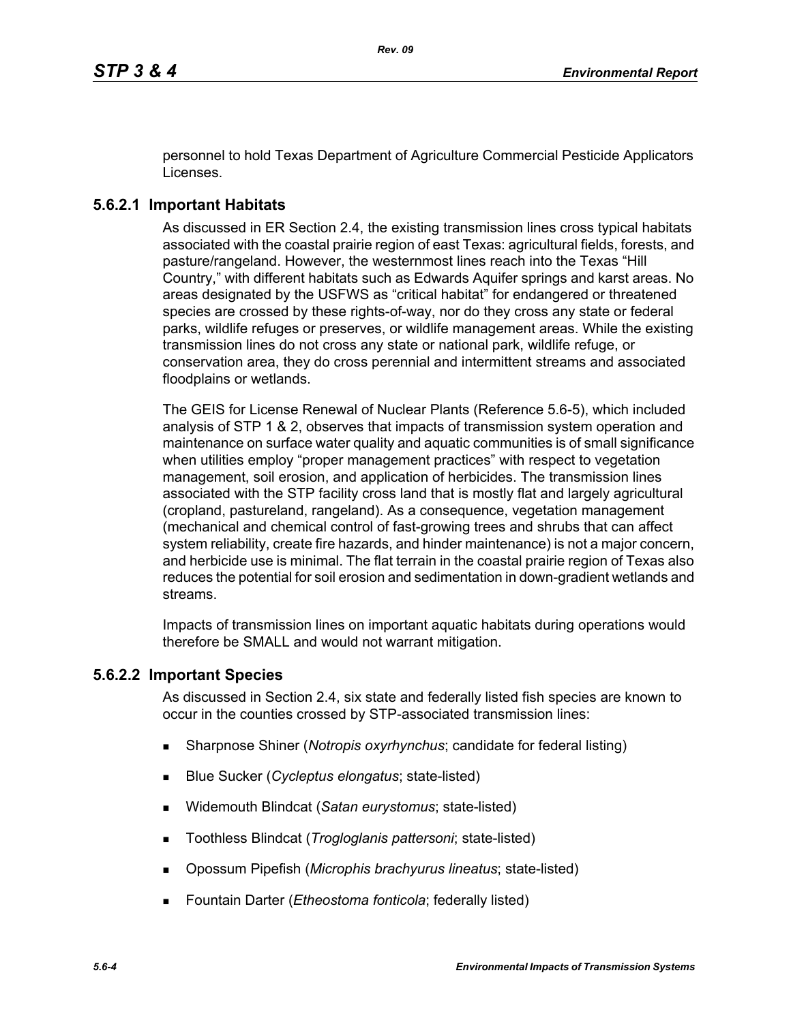personnel to hold Texas Department of Agriculture Commercial Pesticide Applicators Licenses.

# **5.6.2.1 Important Habitats**

As discussed in ER Section 2.4, the existing transmission lines cross typical habitats associated with the coastal prairie region of east Texas: agricultural fields, forests, and pasture/rangeland. However, the westernmost lines reach into the Texas "Hill Country," with different habitats such as Edwards Aquifer springs and karst areas. No areas designated by the USFWS as "critical habitat" for endangered or threatened species are crossed by these rights-of-way, nor do they cross any state or federal parks, wildlife refuges or preserves, or wildlife management areas. While the existing transmission lines do not cross any state or national park, wildlife refuge, or conservation area, they do cross perennial and intermittent streams and associated floodplains or wetlands.

The GEIS for License Renewal of Nuclear Plants (Reference 5.6-5), which included analysis of STP 1 & 2, observes that impacts of transmission system operation and maintenance on surface water quality and aquatic communities is of small significance when utilities employ "proper management practices" with respect to vegetation management, soil erosion, and application of herbicides. The transmission lines associated with the STP facility cross land that is mostly flat and largely agricultural (cropland, pastureland, rangeland). As a consequence, vegetation management (mechanical and chemical control of fast-growing trees and shrubs that can affect system reliability, create fire hazards, and hinder maintenance) is not a major concern, and herbicide use is minimal. The flat terrain in the coastal prairie region of Texas also reduces the potential for soil erosion and sedimentation in down-gradient wetlands and streams.

Impacts of transmission lines on important aquatic habitats during operations would therefore be SMALL and would not warrant mitigation.

## **5.6.2.2 Important Species**

As discussed in Section 2.4, six state and federally listed fish species are known to occur in the counties crossed by STP-associated transmission lines:

- Sharpnose Shiner (*Notropis oxyrhynchus*; candidate for federal listing)
- Blue Sucker (*Cycleptus elongatus*; state-listed)
- Widemouth Blindcat (*Satan eurystomus*; state-listed)
- Toothless Blindcat (*Trogloglanis pattersoni*; state-listed)
- Opossum Pipefish (*Microphis brachyurus lineatus*; state-listed)
- Fountain Darter (*Etheostoma fonticola*; federally listed)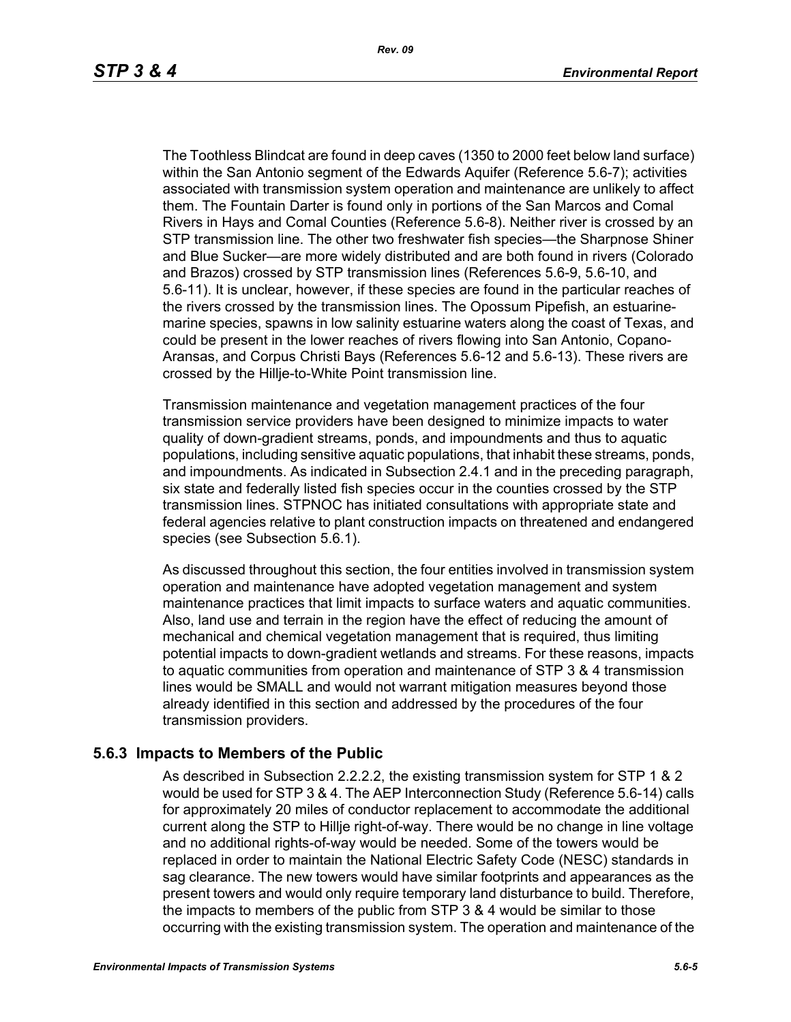The Toothless Blindcat are found in deep caves (1350 to 2000 feet below land surface) within the San Antonio segment of the Edwards Aquifer (Reference 5.6-7); activities associated with transmission system operation and maintenance are unlikely to affect them. The Fountain Darter is found only in portions of the San Marcos and Comal Rivers in Hays and Comal Counties (Reference 5.6-8). Neither river is crossed by an STP transmission line. The other two freshwater fish species—the Sharpnose Shiner and Blue Sucker—are more widely distributed and are both found in rivers (Colorado and Brazos) crossed by STP transmission lines (References 5.6-9, 5.6-10, and 5.6-11). It is unclear, however, if these species are found in the particular reaches of the rivers crossed by the transmission lines. The Opossum Pipefish, an estuarinemarine species, spawns in low salinity estuarine waters along the coast of Texas, and could be present in the lower reaches of rivers flowing into San Antonio, Copano-Aransas, and Corpus Christi Bays (References 5.6-12 and 5.6-13). These rivers are crossed by the Hillje-to-White Point transmission line.

Transmission maintenance and vegetation management practices of the four transmission service providers have been designed to minimize impacts to water quality of down-gradient streams, ponds, and impoundments and thus to aquatic populations, including sensitive aquatic populations, that inhabit these streams, ponds, and impoundments. As indicated in Subsection 2.4.1 and in the preceding paragraph, six state and federally listed fish species occur in the counties crossed by the STP transmission lines. STPNOC has initiated consultations with appropriate state and federal agencies relative to plant construction impacts on threatened and endangered species (see Subsection 5.6.1).

As discussed throughout this section, the four entities involved in transmission system operation and maintenance have adopted vegetation management and system maintenance practices that limit impacts to surface waters and aquatic communities. Also, land use and terrain in the region have the effect of reducing the amount of mechanical and chemical vegetation management that is required, thus limiting potential impacts to down-gradient wetlands and streams. For these reasons, impacts to aquatic communities from operation and maintenance of STP 3 & 4 transmission lines would be SMALL and would not warrant mitigation measures beyond those already identified in this section and addressed by the procedures of the four transmission providers.

#### **5.6.3 Impacts to Members of the Public**

As described in Subsection 2.2.2.2, the existing transmission system for STP 1 & 2 would be used for STP 3 & 4. The AEP Interconnection Study (Reference 5.6-14) calls for approximately 20 miles of conductor replacement to accommodate the additional current along the STP to Hillje right-of-way. There would be no change in line voltage and no additional rights-of-way would be needed. Some of the towers would be replaced in order to maintain the National Electric Safety Code (NESC) standards in sag clearance. The new towers would have similar footprints and appearances as the present towers and would only require temporary land disturbance to build. Therefore, the impacts to members of the public from STP 3 & 4 would be similar to those occurring with the existing transmission system. The operation and maintenance of the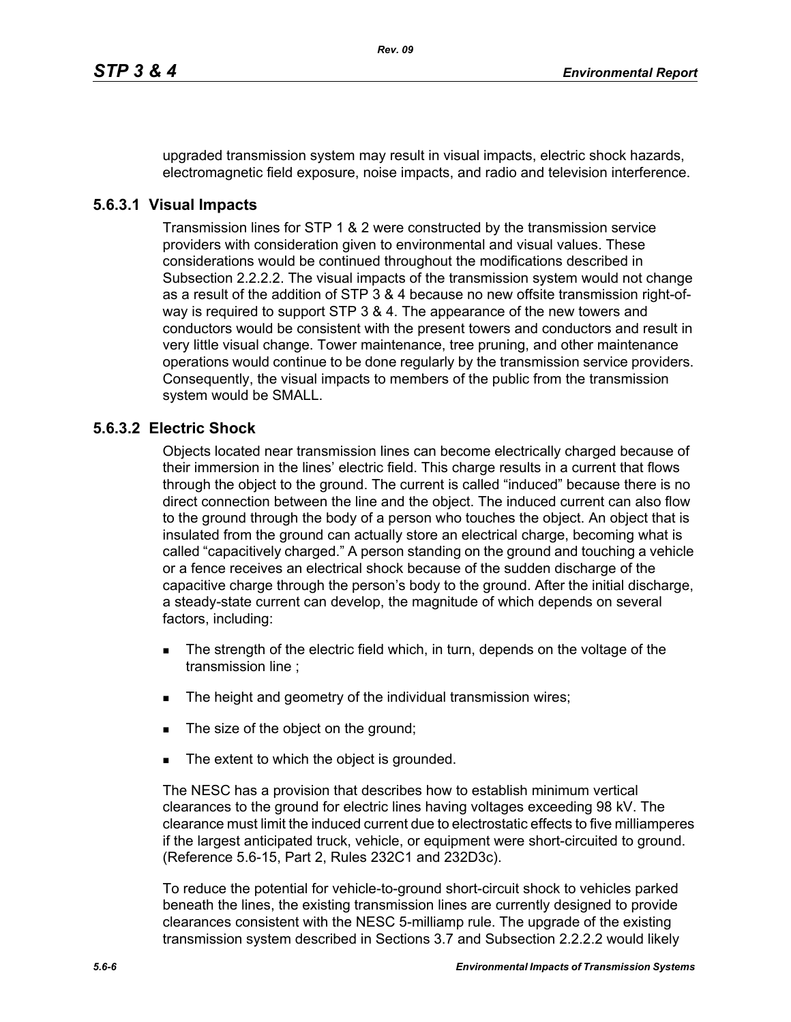upgraded transmission system may result in visual impacts, electric shock hazards, electromagnetic field exposure, noise impacts, and radio and television interference.

#### **5.6.3.1 Visual Impacts**

Transmission lines for STP 1 & 2 were constructed by the transmission service providers with consideration given to environmental and visual values. These considerations would be continued throughout the modifications described in Subsection 2.2.2.2. The visual impacts of the transmission system would not change as a result of the addition of STP 3 & 4 because no new offsite transmission right-ofway is required to support STP 3 & 4. The appearance of the new towers and conductors would be consistent with the present towers and conductors and result in very little visual change. Tower maintenance, tree pruning, and other maintenance operations would continue to be done regularly by the transmission service providers. Consequently, the visual impacts to members of the public from the transmission system would be SMALL.

## **5.6.3.2 Electric Shock**

Objects located near transmission lines can become electrically charged because of their immersion in the lines' electric field. This charge results in a current that flows through the object to the ground. The current is called "induced" because there is no direct connection between the line and the object. The induced current can also flow to the ground through the body of a person who touches the object. An object that is insulated from the ground can actually store an electrical charge, becoming what is called "capacitively charged." A person standing on the ground and touching a vehicle or a fence receives an electrical shock because of the sudden discharge of the capacitive charge through the person's body to the ground. After the initial discharge, a steady-state current can develop, the magnitude of which depends on several factors, including:

- The strength of the electric field which, in turn, depends on the voltage of the transmission line ;
- The height and geometry of the individual transmission wires;
- The size of the object on the ground;
- The extent to which the object is grounded.

The NESC has a provision that describes how to establish minimum vertical clearances to the ground for electric lines having voltages exceeding 98 kV. The clearance must limit the induced current due to electrostatic effects to five milliamperes if the largest anticipated truck, vehicle, or equipment were short-circuited to ground. (Reference 5.6-15, Part 2, Rules 232C1 and 232D3c).

To reduce the potential for vehicle-to-ground short-circuit shock to vehicles parked beneath the lines, the existing transmission lines are currently designed to provide clearances consistent with the NESC 5-milliamp rule. The upgrade of the existing transmission system described in Sections 3.7 and Subsection 2.2.2.2 would likely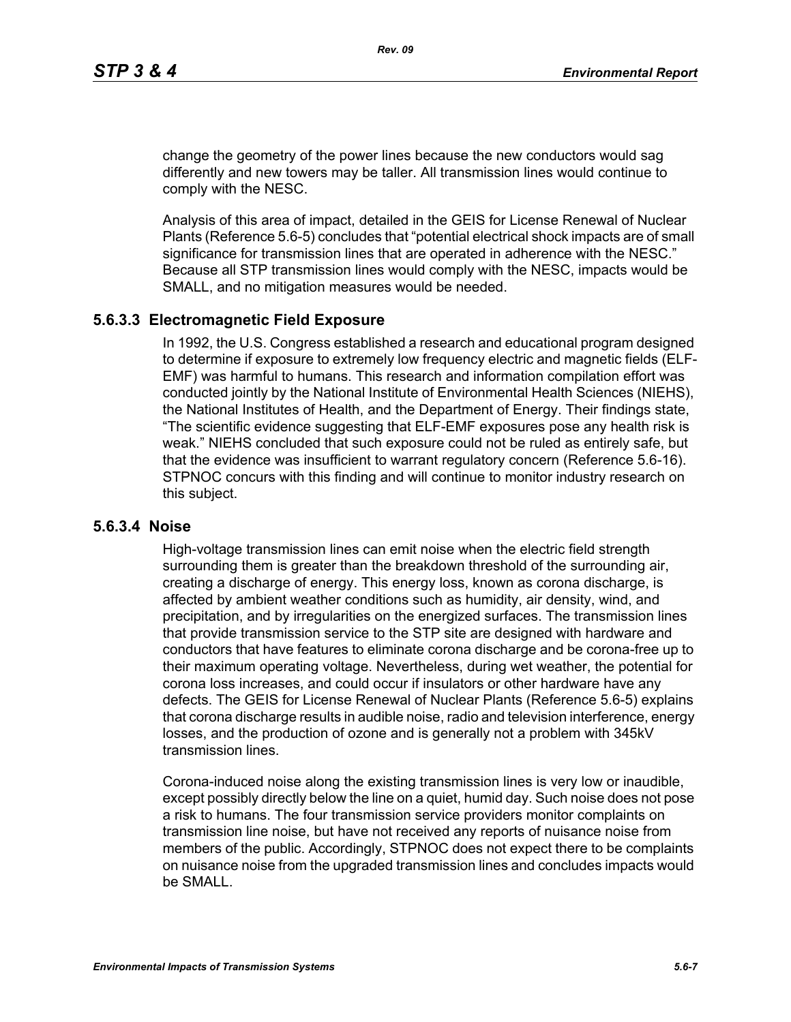change the geometry of the power lines because the new conductors would sag differently and new towers may be taller. All transmission lines would continue to comply with the NESC.

Analysis of this area of impact, detailed in the GEIS for License Renewal of Nuclear Plants (Reference 5.6-5) concludes that "potential electrical shock impacts are of small significance for transmission lines that are operated in adherence with the NESC." Because all STP transmission lines would comply with the NESC, impacts would be SMALL, and no mitigation measures would be needed.

#### **5.6.3.3 Electromagnetic Field Exposure**

In 1992, the U.S. Congress established a research and educational program designed to determine if exposure to extremely low frequency electric and magnetic fields (ELF-EMF) was harmful to humans. This research and information compilation effort was conducted jointly by the National Institute of Environmental Health Sciences (NIEHS), the National Institutes of Health, and the Department of Energy. Their findings state, "The scientific evidence suggesting that ELF-EMF exposures pose any health risk is weak." NIEHS concluded that such exposure could not be ruled as entirely safe, but that the evidence was insufficient to warrant regulatory concern (Reference 5.6-16). STPNOC concurs with this finding and will continue to monitor industry research on this subject.

#### **5.6.3.4 Noise**

High-voltage transmission lines can emit noise when the electric field strength surrounding them is greater than the breakdown threshold of the surrounding air, creating a discharge of energy. This energy loss, known as corona discharge, is affected by ambient weather conditions such as humidity, air density, wind, and precipitation, and by irregularities on the energized surfaces. The transmission lines that provide transmission service to the STP site are designed with hardware and conductors that have features to eliminate corona discharge and be corona-free up to their maximum operating voltage. Nevertheless, during wet weather, the potential for corona loss increases, and could occur if insulators or other hardware have any defects. The GEIS for License Renewal of Nuclear Plants (Reference 5.6-5) explains that corona discharge results in audible noise, radio and television interference, energy losses, and the production of ozone and is generally not a problem with 345kV transmission lines.

Corona-induced noise along the existing transmission lines is very low or inaudible, except possibly directly below the line on a quiet, humid day. Such noise does not pose a risk to humans. The four transmission service providers monitor complaints on transmission line noise, but have not received any reports of nuisance noise from members of the public. Accordingly, STPNOC does not expect there to be complaints on nuisance noise from the upgraded transmission lines and concludes impacts would be SMALL.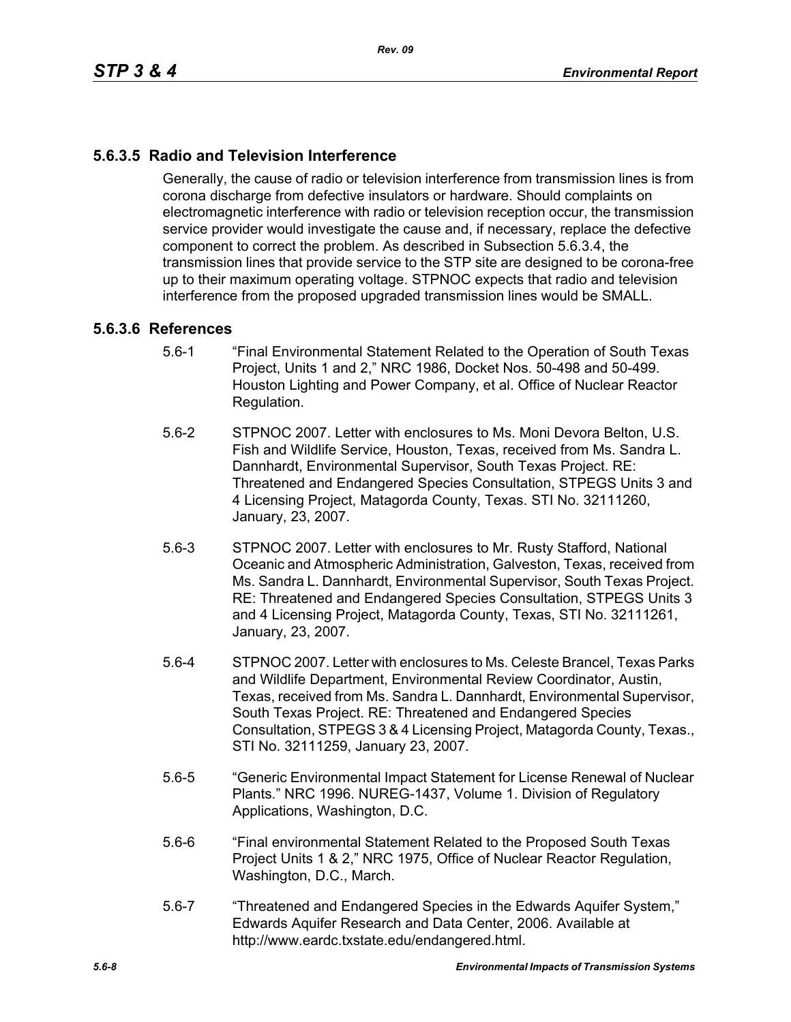# **5.6.3.5 Radio and Television Interference**

Generally, the cause of radio or television interference from transmission lines is from corona discharge from defective insulators or hardware. Should complaints on electromagnetic interference with radio or television reception occur, the transmission service provider would investigate the cause and, if necessary, replace the defective component to correct the problem. As described in Subsection 5.6.3.4, the transmission lines that provide service to the STP site are designed to be corona-free up to their maximum operating voltage. STPNOC expects that radio and television interference from the proposed upgraded transmission lines would be SMALL.

#### **5.6.3.6 References**

- 5.6-1 "Final Environmental Statement Related to the Operation of South Texas Project, Units 1 and 2," NRC 1986, Docket Nos. 50-498 and 50-499. Houston Lighting and Power Company, et al. Office of Nuclear Reactor Regulation.
- 5.6-2 STPNOC 2007. Letter with enclosures to Ms. Moni Devora Belton, U.S. Fish and Wildlife Service, Houston, Texas, received from Ms. Sandra L. Dannhardt, Environmental Supervisor, South Texas Project. RE: Threatened and Endangered Species Consultation, STPEGS Units 3 and 4 Licensing Project, Matagorda County, Texas. STI No. 32111260, January, 23, 2007.
- 5.6-3 STPNOC 2007. Letter with enclosures to Mr. Rusty Stafford, National Oceanic and Atmospheric Administration, Galveston, Texas, received from Ms. Sandra L. Dannhardt, Environmental Supervisor, South Texas Project. RE: Threatened and Endangered Species Consultation, STPEGS Units 3 and 4 Licensing Project, Matagorda County, Texas, STI No. 32111261, January, 23, 2007.
- 5.6-4 STPNOC 2007. Letter with enclosures to Ms. Celeste Brancel, Texas Parks and Wildlife Department, Environmental Review Coordinator, Austin, Texas, received from Ms. Sandra L. Dannhardt, Environmental Supervisor, South Texas Project. RE: Threatened and Endangered Species Consultation, STPEGS 3 & 4 Licensing Project, Matagorda County, Texas., STI No. 32111259, January 23, 2007.
- 5.6-5 "Generic Environmental Impact Statement for License Renewal of Nuclear Plants." NRC 1996. NUREG-1437, Volume 1. Division of Regulatory Applications, Washington, D.C.
- 5.6-6 "Final environmental Statement Related to the Proposed South Texas Project Units 1 & 2," NRC 1975, Office of Nuclear Reactor Regulation, Washington, D.C., March.
- 5.6-7 "Threatened and Endangered Species in the Edwards Aquifer System," Edwards Aquifer Research and Data Center, 2006. Available at http://www.eardc.txstate.edu/endangered.html.